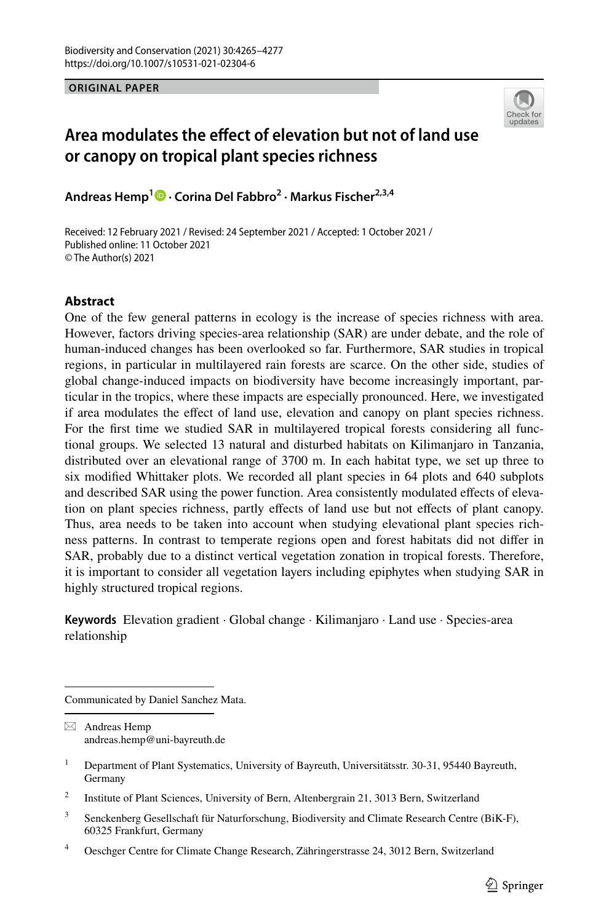**ORIGINAL PAPER**



# **Area modulates the efect of elevation but not of land use or canopy on tropical plant species richness**

**Andreas Hemp1  [·](http://orcid.org/0000-0002-5369-2122) Corina Del Fabbro2 · Markus Fischer2,3,4**

Received: 12 February 2021 / Revised: 24 September 2021 / Accepted: 1 October 2021 / Published online: 11 October 2021 © The Author(s) 2021

## **Abstract**

One of the few general patterns in ecology is the increase of species richness with area. However, factors driving species-area relationship (SAR) are under debate, and the role of human-induced changes has been overlooked so far. Furthermore, SAR studies in tropical regions, in particular in multilayered rain forests are scarce. On the other side, studies of global change-induced impacts on biodiversity have become increasingly important, particular in the tropics, where these impacts are especially pronounced. Here, we investigated if area modulates the efect of land use, elevation and canopy on plant species richness. For the frst time we studied SAR in multilayered tropical forests considering all functional groups. We selected 13 natural and disturbed habitats on Kilimanjaro in Tanzania, distributed over an elevational range of 3700 m. In each habitat type, we set up three to six modifed Whittaker plots. We recorded all plant species in 64 plots and 640 subplots and described SAR using the power function. Area consistently modulated efects of elevation on plant species richness, partly efects of land use but not efects of plant canopy. Thus, area needs to be taken into account when studying elevational plant species richness patterns. In contrast to temperate regions open and forest habitats did not difer in SAR, probably due to a distinct vertical vegetation zonation in tropical forests. Therefore, it is important to consider all vegetation layers including epiphytes when studying SAR in highly structured tropical regions.

**Keywords** Elevation gradient · Global change · Kilimanjaro · Land use · Species-area relationship

Communicated by Daniel Sanchez Mata.

 $\boxtimes$  Andreas Hemp andreas.hemp@uni-bayreuth.de

<sup>3</sup> Senckenberg Gesellschaft für Naturforschung, Biodiversity and Climate Research Centre (BiK-F), 60325 Frankfurt, Germany

<sup>&</sup>lt;sup>1</sup> Department of Plant Systematics, University of Bayreuth, Universitätsstr. 30-31, 95440 Bayreuth, Germany

<sup>&</sup>lt;sup>2</sup> Institute of Plant Sciences, University of Bern, Altenbergrain 21, 3013 Bern, Switzerland

<sup>4</sup> Oeschger Centre for Climate Change Research, Zähringerstrasse 24, 3012 Bern, Switzerland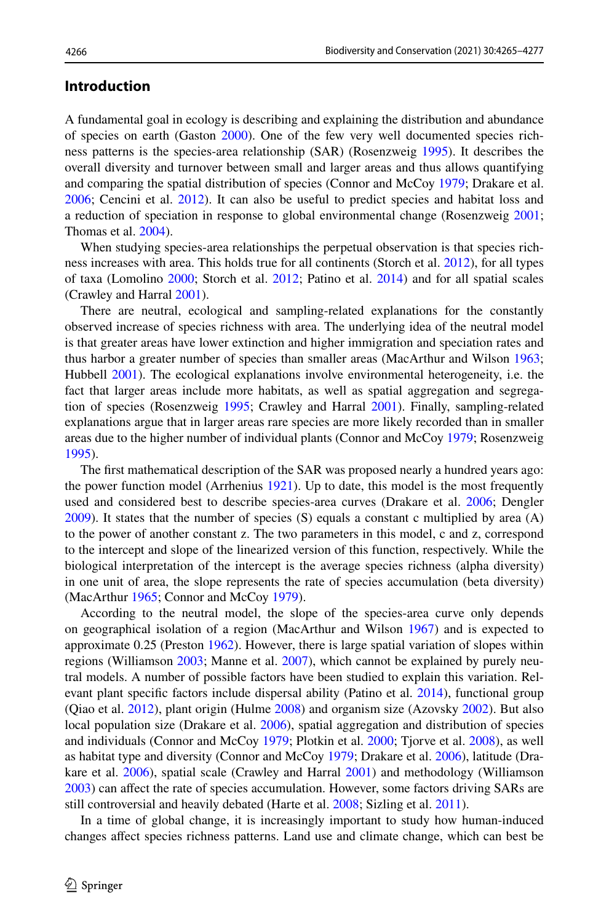### **Introduction**

A fundamental goal in ecology is describing and explaining the distribution and abundance of species on earth (Gaston [2000\)](#page-11-0). One of the few very well documented species richness patterns is the species-area relationship (SAR) (Rosenzweig [1995](#page-12-0)). It describes the overall diversity and turnover between small and larger areas and thus allows quantifying and comparing the spatial distribution of species (Connor and McCoy [1979;](#page-11-1) Drakare et al. [2006;](#page-11-2) Cencini et al. [2012\)](#page-11-3). It can also be useful to predict species and habitat loss and a reduction of speciation in response to global environmental change (Rosenzweig [2001;](#page-12-1) Thomas et al. [2004\)](#page-12-2).

When studying species-area relationships the perpetual observation is that species richness increases with area. This holds true for all continents (Storch et al. [2012](#page-12-3)), for all types of taxa (Lomolino [2000](#page-11-4); Storch et al. [2012;](#page-12-3) Patino et al. [2014](#page-12-4)) and for all spatial scales (Crawley and Harral [2001\)](#page-11-5).

There are neutral, ecological and sampling-related explanations for the constantly observed increase of species richness with area. The underlying idea of the neutral model is that greater areas have lower extinction and higher immigration and speciation rates and thus harbor a greater number of species than smaller areas (MacArthur and Wilson [1963;](#page-11-6) Hubbell [2001\)](#page-11-7). The ecological explanations involve environmental heterogeneity, i.e. the fact that larger areas include more habitats, as well as spatial aggregation and segregation of species (Rosenzweig [1995](#page-12-0); Crawley and Harral [2001](#page-11-5)). Finally, sampling-related explanations argue that in larger areas rare species are more likely recorded than in smaller areas due to the higher number of individual plants (Connor and McCoy [1979;](#page-11-1) Rosenzweig [1995\)](#page-12-0).

The frst mathematical description of the SAR was proposed nearly a hundred years ago: the power function model (Arrhenius [1921\)](#page-11-8). Up to date, this model is the most frequently used and considered best to describe species-area curves (Drakare et al. [2006;](#page-11-2) Dengler [2009\)](#page-11-9). It states that the number of species (S) equals a constant c multiplied by area (A) to the power of another constant z. The two parameters in this model, c and z, correspond to the intercept and slope of the linearized version of this function, respectively. While the biological interpretation of the intercept is the average species richness (alpha diversity) in one unit of area, the slope represents the rate of species accumulation (beta diversity) (MacArthur [1965;](#page-11-10) Connor and McCoy [1979](#page-11-1)).

According to the neutral model, the slope of the species-area curve only depends on geographical isolation of a region (MacArthur and Wilson [1967\)](#page-11-11) and is expected to approximate 0.25 (Preston [1962\)](#page-12-5). However, there is large spatial variation of slopes within regions (Williamson [2003;](#page-12-6) Manne et al. [2007\)](#page-11-12), which cannot be explained by purely neutral models. A number of possible factors have been studied to explain this variation. Relevant plant specifc factors include dispersal ability (Patino et al. [2014](#page-12-4)), functional group (Qiao et al. [2012](#page-12-7)), plant origin (Hulme [2008](#page-11-13)) and organism size (Azovsky [2002\)](#page-11-14). But also local population size (Drakare et al. [2006\)](#page-11-2), spatial aggregation and distribution of species and individuals (Connor and McCoy [1979;](#page-11-1) Plotkin et al. [2000](#page-12-8); Tjorve et al. [2008\)](#page-12-9), as well as habitat type and diversity (Connor and McCoy [1979](#page-11-1); Drakare et al. [2006](#page-11-2)), latitude (Drakare et al. [2006\)](#page-11-2), spatial scale (Crawley and Harral [2001](#page-11-5)) and methodology (Williamson [2003\)](#page-12-6) can afect the rate of species accumulation. However, some factors driving SARs are still controversial and heavily debated (Harte et al. [2008](#page-11-15); Sizling et al. [2011](#page-12-10)).

In a time of global change, it is increasingly important to study how human-induced changes afect species richness patterns. Land use and climate change, which can best be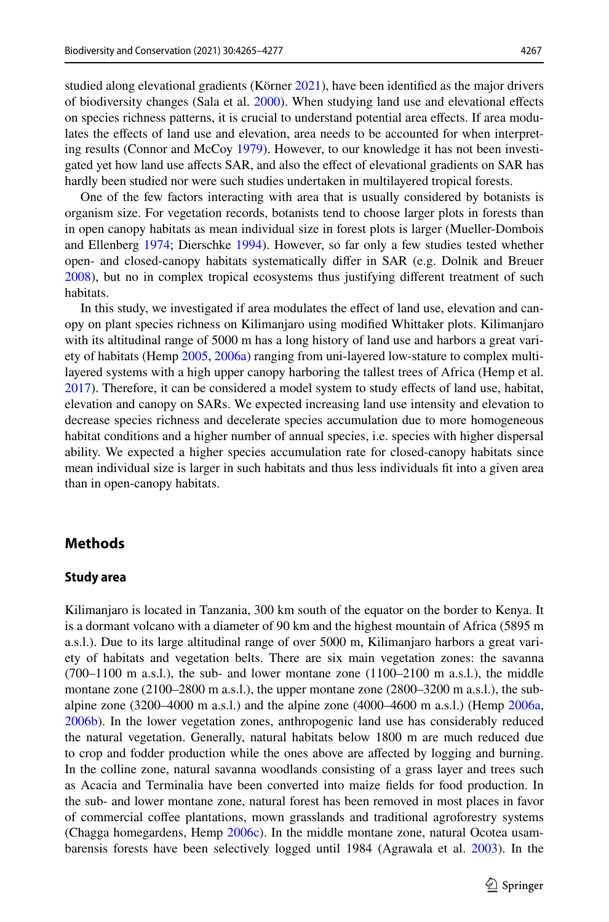studied along elevational gradients (Körner [2021\)](#page-11-16), have been identifed as the major drivers of biodiversity changes (Sala et al. [2000](#page-12-11)). When studying land use and elevational efects on species richness patterns, it is crucial to understand potential area efects. If area modulates the efects of land use and elevation, area needs to be accounted for when interpreting results (Connor and McCoy [1979\)](#page-11-1). However, to our knowledge it has not been investigated yet how land use afects SAR, and also the efect of elevational gradients on SAR has hardly been studied nor were such studies undertaken in multilayered tropical forests.

One of the few factors interacting with area that is usually considered by botanists is organism size. For vegetation records, botanists tend to choose larger plots in forests than in open canopy habitats as mean individual size in forest plots is larger (Mueller-Dombois and Ellenberg [1974;](#page-11-17) Dierschke [1994](#page-11-18)). However, so far only a few studies tested whether open- and closed-canopy habitats systematically difer in SAR (e.g. Dolnik and Breuer [2008\)](#page-11-19), but no in complex tropical ecosystems thus justifying diferent treatment of such habitats.

In this study, we investigated if area modulates the effect of land use, elevation and canopy on plant species richness on Kilimanjaro using modifed Whittaker plots. Kilimanjaro with its altitudinal range of 5000 m has a long history of land use and harbors a great variety of habitats (Hemp [2005](#page-11-20), [2006a](#page-11-21)) ranging from uni-layered low-stature to complex multilayered systems with a high upper canopy harboring the tallest trees of Africa (Hemp et al. [2017\)](#page-11-22). Therefore, it can be considered a model system to study efects of land use, habitat, elevation and canopy on SARs. We expected increasing land use intensity and elevation to decrease species richness and decelerate species accumulation due to more homogeneous habitat conditions and a higher number of annual species, i.e. species with higher dispersal ability. We expected a higher species accumulation rate for closed-canopy habitats since mean individual size is larger in such habitats and thus less individuals ft into a given area than in open-canopy habitats.

### **Methods**

### **Study area**

Kilimanjaro is located in Tanzania, 300 km south of the equator on the border to Kenya. It is a dormant volcano with a diameter of 90 km and the highest mountain of Africa (5895 m a.s.l.). Due to its large altitudinal range of over 5000 m, Kilimanjaro harbors a great variety of habitats and vegetation belts. There are six main vegetation zones: the savanna  $(700-1100 \text{ m a.s.}$ .), the sub- and lower montane zone  $(1100-2100 \text{ m a.s.}$ .), the middle montane zone (2100–2800 m a.s.l.), the upper montane zone (2800–3200 m a.s.l.), the subalpine zone (3200–4000 m a.s.l.) and the alpine zone (4000–4600 m a.s.l.) (Hemp  $2006a$ , [2006b\)](#page-11-23). In the lower vegetation zones, anthropogenic land use has considerably reduced the natural vegetation. Generally, natural habitats below 1800 m are much reduced due to crop and fodder production while the ones above are afected by logging and burning. In the colline zone, natural savanna woodlands consisting of a grass layer and trees such as Acacia and Terminalia have been converted into maize felds for food production. In the sub- and lower montane zone, natural forest has been removed in most places in favor of commercial cofee plantations, mown grasslands and traditional agroforestry systems (Chagga homegardens, Hemp [2006c](#page-11-24)). In the middle montane zone, natural Ocotea usambarensis forests have been selectively logged until 1984 (Agrawala et al. [2003](#page-10-0)). In the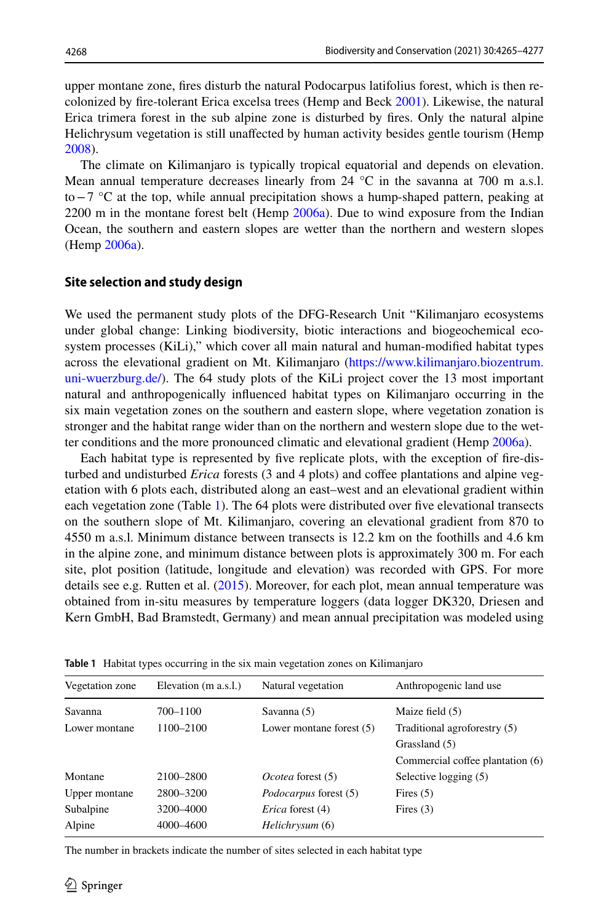upper montane zone, fres disturb the natural Podocarpus latifolius forest, which is then recolonized by fre-tolerant Erica excelsa trees (Hemp and Beck [2001\)](#page-11-25). Likewise, the natural Erica trimera forest in the sub alpine zone is disturbed by fres. Only the natural alpine Helichrysum vegetation is still unafected by human activity besides gentle tourism (Hemp [2008\)](#page-11-26).

The climate on Kilimanjaro is typically tropical equatorial and depends on elevation. Mean annual temperature decreases linearly from  $24 \text{ °C}$  in the savanna at 700 m a.s.l. to−7 °C at the top, while annual precipitation shows a hump-shaped pattern, peaking at  $2200$  m in the montane forest belt (Hemp  $2006a$ ). Due to wind exposure from the Indian Ocean, the southern and eastern slopes are wetter than the northern and western slopes (Hemp [2006a\)](#page-11-21).

### **Site selection and study design**

We used the permanent study plots of the DFG-Research Unit "Kilimanjaro ecosystems under global change: Linking biodiversity, biotic interactions and biogeochemical ecosystem processes (KiLi)," which cover all main natural and human-modifed habitat types across the elevational gradient on Mt. Kilimanjaro ([https://www.kilimanjaro.biozentrum.](https://www.kilimanjaro.biozentrum.uni-wuerzburg.de/) [uni-wuerzburg.de/\)](https://www.kilimanjaro.biozentrum.uni-wuerzburg.de/). The 64 study plots of the KiLi project cover the 13 most important natural and anthropogenically infuenced habitat types on Kilimanjaro occurring in the six main vegetation zones on the southern and eastern slope, where vegetation zonation is stronger and the habitat range wider than on the northern and western slope due to the wetter conditions and the more pronounced climatic and elevational gradient (Hemp [2006a\)](#page-11-21).

Each habitat type is represented by fve replicate plots, with the exception of fre-disturbed and undisturbed *Erica* forests (3 and 4 plots) and cofee plantations and alpine vegetation with 6 plots each, distributed along an east–west and an elevational gradient within each vegetation zone (Table [1\)](#page-3-0). The 64 plots were distributed over fve elevational transects on the southern slope of Mt. Kilimanjaro, covering an elevational gradient from 870 to 4550 m a.s.l. Minimum distance between transects is 12.2 km on the foothills and 4.6 km in the alpine zone, and minimum distance between plots is approximately 300 m. For each site, plot position (latitude, longitude and elevation) was recorded with GPS. For more details see e.g. Rutten et al. [\(2015](#page-12-12)). Moreover, for each plot, mean annual temperature was obtained from in-situ measures by temperature loggers (data logger DK320, Driesen and Kern GmbH, Bad Bramstedt, Germany) and mean annual precipitation was modeled using

| Vegetation zone | Elevation (m a.s.l.) | Natural vegetation           | Anthropogenic land use           |  |  |
|-----------------|----------------------|------------------------------|----------------------------------|--|--|
| Savanna         | 700-1100             | Savanna (5)                  | Maize field (5)                  |  |  |
| Lower montane   | 1100-2100            | Lower montane forest $(5)$   | Traditional agroforestry (5)     |  |  |
|                 |                      |                              | Grassland (5)                    |  |  |
|                 |                      |                              | Commercial coffee plantation (6) |  |  |
| Montane         | 2100-2800            | Ocotea forest (5)            | Selective logging (5)            |  |  |
| Upper montane   | 2800-3200            | <i>Podocarpus</i> forest (5) | Fires $(5)$                      |  |  |
| Subalpine       | 3200-4000            | <i>Erica</i> forest (4)      | Fires $(3)$                      |  |  |
| Alpine          | 4000-4600            | <i>Helichrysum</i> (6)       |                                  |  |  |

<span id="page-3-0"></span>**Table 1** Habitat types occurring in the six main vegetation zones on Kilimanjaro

The number in brackets indicate the number of sites selected in each habitat type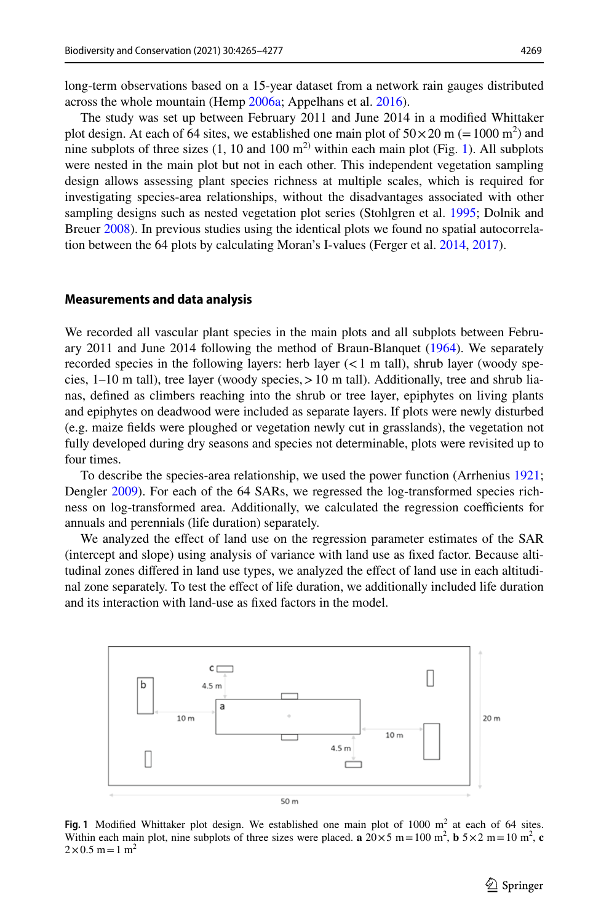long-term observations based on a 15-year dataset from a network rain gauges distributed across the whole mountain (Hemp [2006a;](#page-11-21) Appelhans et al. [2016\)](#page-10-1).

The study was set up between February 2011 and June 2014 in a modifed Whittaker plot design. At each of 64 sites, we established one main plot of  $50 \times 20$  m (= 1000 m<sup>2</sup>) and nine subplots of three sizes  $(1, 10 \text{ and } 100 \text{ m}^2)$  $(1, 10 \text{ and } 100 \text{ m}^2)$  $(1, 10 \text{ and } 100 \text{ m}^2)$  within each main plot (Fig. 1). All subplots were nested in the main plot but not in each other. This independent vegetation sampling design allows assessing plant species richness at multiple scales, which is required for investigating species-area relationships, without the disadvantages associated with other sampling designs such as nested vegetation plot series (Stohlgren et al. [1995;](#page-12-13) Dolnik and Breuer [2008](#page-11-19)). In previous studies using the identical plots we found no spatial autocorrelation between the 64 plots by calculating Moran's I-values (Ferger et al. [2014](#page-11-27), [2017](#page-11-28)).

#### **Measurements and data analysis**

We recorded all vascular plant species in the main plots and all subplots between February 2011 and June 2014 following the method of Braun-Blanquet [\(1964](#page-11-29)). We separately recorded species in the following layers: herb layer  $(< 1$  m tall), shrub layer (woody species,  $1-10$  m tall), tree layer (woody species,  $> 10$  m tall). Additionally, tree and shrub lianas, defned as climbers reaching into the shrub or tree layer, epiphytes on living plants and epiphytes on deadwood were included as separate layers. If plots were newly disturbed (e.g. maize felds were ploughed or vegetation newly cut in grasslands), the vegetation not fully developed during dry seasons and species not determinable, plots were revisited up to four times.

To describe the species-area relationship, we used the power function (Arrhenius [1921;](#page-11-8) Dengler [2009\)](#page-11-9). For each of the 64 SARs, we regressed the log-transformed species richness on log-transformed area. Additionally, we calculated the regression coefficients for annuals and perennials (life duration) separately.

We analyzed the efect of land use on the regression parameter estimates of the SAR (intercept and slope) using analysis of variance with land use as fxed factor. Because altitudinal zones differed in land use types, we analyzed the effect of land use in each altitudinal zone separately. To test the efect of life duration, we additionally included life duration and its interaction with land-use as fxed factors in the model.



<span id="page-4-0"></span>Fig. 1 Modified Whittaker plot design. We established one main plot of  $1000 \text{ m}^2$  at each of 64 sites. Within each main plot, nine subplots of three sizes were placed. **a**  $20 \times 5$  m = 100 m<sup>2</sup>, **b**  $5 \times 2$  m = 10 m<sup>2</sup>, **c**  $2 \times 0.5$  m = 1 m<sup>2</sup>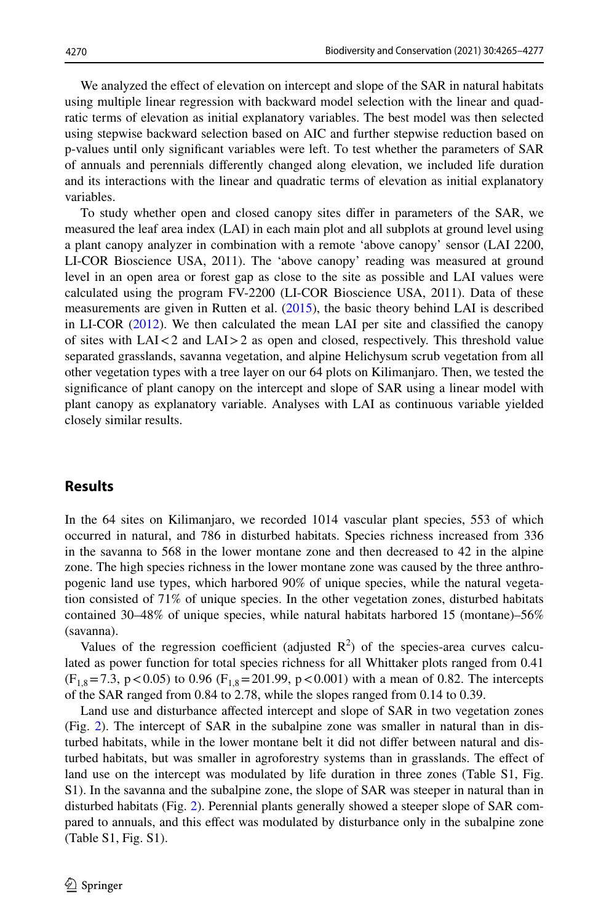We analyzed the effect of elevation on intercept and slope of the SAR in natural habitats using multiple linear regression with backward model selection with the linear and quadratic terms of elevation as initial explanatory variables. The best model was then selected using stepwise backward selection based on AIC and further stepwise reduction based on p-values until only signifcant variables were left. To test whether the parameters of SAR of annuals and perennials diferently changed along elevation, we included life duration and its interactions with the linear and quadratic terms of elevation as initial explanatory variables.

To study whether open and closed canopy sites difer in parameters of the SAR, we measured the leaf area index (LAI) in each main plot and all subplots at ground level using a plant canopy analyzer in combination with a remote 'above canopy' sensor (LAI 2200, LI-COR Bioscience USA, 2011). The 'above canopy' reading was measured at ground level in an open area or forest gap as close to the site as possible and LAI values were calculated using the program FV-2200 (LI-COR Bioscience USA, 2011). Data of these measurements are given in Rutten et al. ([2015\)](#page-12-12), the basic theory behind LAI is described in LI-COR [\(2012](#page-11-30)). We then calculated the mean LAI per site and classifed the canopy of sites with LAI<2 and LAI>2 as open and closed, respectively. This threshold value separated grasslands, savanna vegetation, and alpine Helichysum scrub vegetation from all other vegetation types with a tree layer on our 64 plots on Kilimanjaro. Then, we tested the signifcance of plant canopy on the intercept and slope of SAR using a linear model with plant canopy as explanatory variable. Analyses with LAI as continuous variable yielded closely similar results.

## **Results**

In the 64 sites on Kilimanjaro, we recorded 1014 vascular plant species, 553 of which occurred in natural, and 786 in disturbed habitats. Species richness increased from 336 in the savanna to 568 in the lower montane zone and then decreased to 42 in the alpine zone. The high species richness in the lower montane zone was caused by the three anthropogenic land use types, which harbored 90% of unique species, while the natural vegetation consisted of 71% of unique species. In the other vegetation zones, disturbed habitats contained 30–48% of unique species, while natural habitats harbored 15 (montane)–56% (savanna).

Values of the regression coefficient (adjusted  $\mathbb{R}^2$ ) of the species-area curves calculated as power function for total species richness for all Whittaker plots ranged from 0.41  $(F_{1,8}=7.3, p<0.05)$  to 0.96  $(F_{1,8}=201.99, p<0.001)$  with a mean of 0.82. The intercepts of the SAR ranged from 0.84 to 2.78, while the slopes ranged from 0.14 to 0.39.

Land use and disturbance afected intercept and slope of SAR in two vegetation zones (Fig. [2](#page-6-0)). The intercept of SAR in the subalpine zone was smaller in natural than in disturbed habitats, while in the lower montane belt it did not difer between natural and disturbed habitats, but was smaller in agroforestry systems than in grasslands. The efect of land use on the intercept was modulated by life duration in three zones (Table S1, Fig. S1). In the savanna and the subalpine zone, the slope of SAR was steeper in natural than in disturbed habitats (Fig. [2](#page-6-0)). Perennial plants generally showed a steeper slope of SAR compared to annuals, and this efect was modulated by disturbance only in the subalpine zone (Table S1, Fig. S1).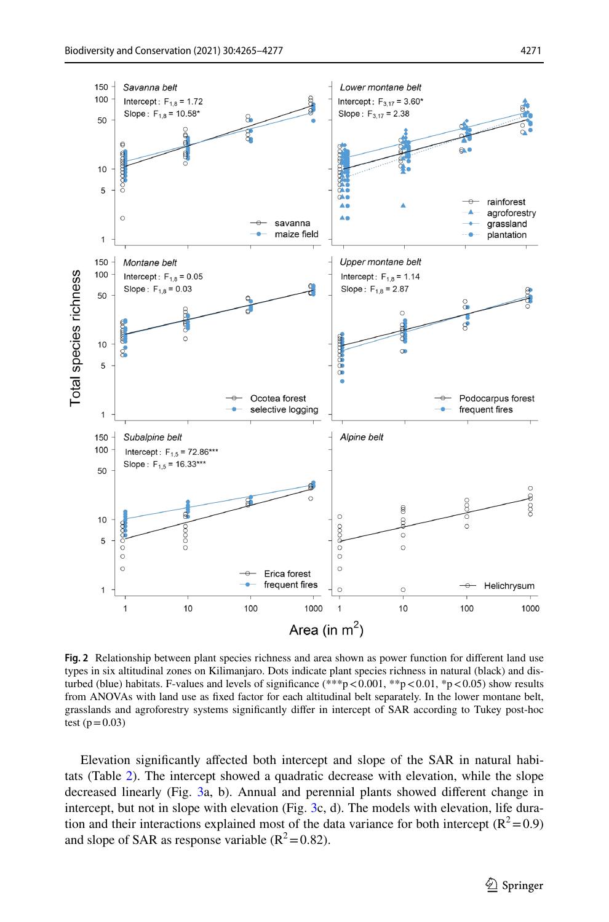

<span id="page-6-0"></span>**Fig. 2** Relationship between plant species richness and area shown as power function for diferent land use types in six altitudinal zones on Kilimanjaro. Dots indicate plant species richness in natural (black) and disturbed (blue) habitats. F-values and levels of significance  $(**p<0.001, **p<0.01, *p<0.05)$  show results from ANOVAs with land use as fxed factor for each altitudinal belt separately. In the lower montane belt, grasslands and agroforestry systems signifcantly difer in intercept of SAR according to Tukey post-hoc test ( $p = 0.03$ )

Elevation signifcantly afected both intercept and slope of the SAR in natural habitats (Table [2\)](#page-7-0). The intercept showed a quadratic decrease with elevation, while the slope decreased linearly (Fig. [3](#page-8-0)a, b). Annual and perennial plants showed diferent change in intercept, but not in slope with elevation (Fig. [3](#page-8-0)c, d). The models with elevation, life duration and their interactions explained most of the data variance for both intercept ( $\mathbb{R}^2$  = 0.9) and slope of SAR as response variable  $(R^2=0.82)$ .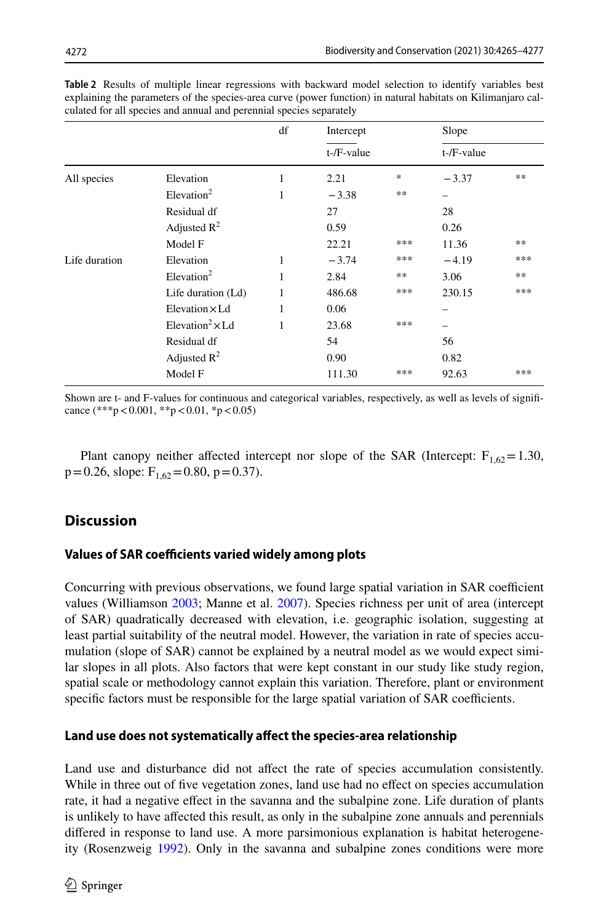|               |                                    | df | Intercept         |     | Slope         |     |
|---------------|------------------------------------|----|-------------------|-----|---------------|-----|
|               |                                    | 1  | $t$ -/ $F$ -value |     | $t$ -/F-value |     |
| All species   | Elevation                          |    | 2.21              | *   | $-3.37$       | **  |
|               | Elevantion <sup>2</sup>            | 1  | $-3.38$           | **  |               |     |
|               | Residual df                        |    | 27                |     | 28            |     |
|               | Adjusted $\mathbb{R}^2$            |    | 0.59              |     | 0.26          |     |
|               | Model F                            |    | 22.21             | *** | 11.36         | **  |
| Life duration | Elevation                          | 1  | $-3.74$           | *** | $-4.19$       | *** |
|               | Elevantion <sup>2</sup>            | 1  | 2.84              | **  | 3.06          | **  |
|               | Life duration (Ld)                 | 1  | 486.68            | *** | 230.15        | *** |
|               | Elevation $\times$ Ld              | 1  | 0.06              |     |               |     |
|               | Elevation <sup>2</sup> $\times$ Ld | 1  | 23.68             | *** |               |     |
|               | Residual df                        |    | 54                |     | 56            |     |
|               | Adjusted $\mathbb{R}^2$            |    | 0.90              |     | 0.82          |     |
|               | Model F                            |    | 111.30            | *** | 92.63         | *** |

<span id="page-7-0"></span>**Table 2** Results of multiple linear regressions with backward model selection to identify variables best explaining the parameters of the species-area curve (power function) in natural habitats on Kilimanjaro calculated for all species and annual and perennial species separately

Shown are t- and F-values for continuous and categorical variables, respectively, as well as levels of signifcance  $(***p<0.001, **p<0.01, *p<0.05)$ 

Plant canopy neither affected intercept nor slope of the SAR (Intercept:  $F_{1,62}=1.30$ ,  $p=0.26$ , slope:  $F_{1,62}=0.80$ ,  $p=0.37$ ).

## **Discussion**

## **Values of SAR coefficients varied widely among plots**

Concurring with previous observations, we found large spatial variation in SAR coefficient values (Williamson [2003](#page-12-6); Manne et al. [2007](#page-11-12)). Species richness per unit of area (intercept of SAR) quadratically decreased with elevation, i.e. geographic isolation, suggesting at least partial suitability of the neutral model. However, the variation in rate of species accumulation (slope of SAR) cannot be explained by a neutral model as we would expect similar slopes in all plots. Also factors that were kept constant in our study like study region, spatial scale or methodology cannot explain this variation. Therefore, plant or environment specific factors must be responsible for the large spatial variation of SAR coefficients.

## **Land use does not systematically afect the species‑area relationship**

Land use and disturbance did not afect the rate of species accumulation consistently. While in three out of five vegetation zones, land use had no effect on species accumulation rate, it had a negative efect in the savanna and the subalpine zone. Life duration of plants is unlikely to have afected this result, as only in the subalpine zone annuals and perennials difered in response to land use. A more parsimonious explanation is habitat heterogeneity (Rosenzweig [1992](#page-12-14)). Only in the savanna and subalpine zones conditions were more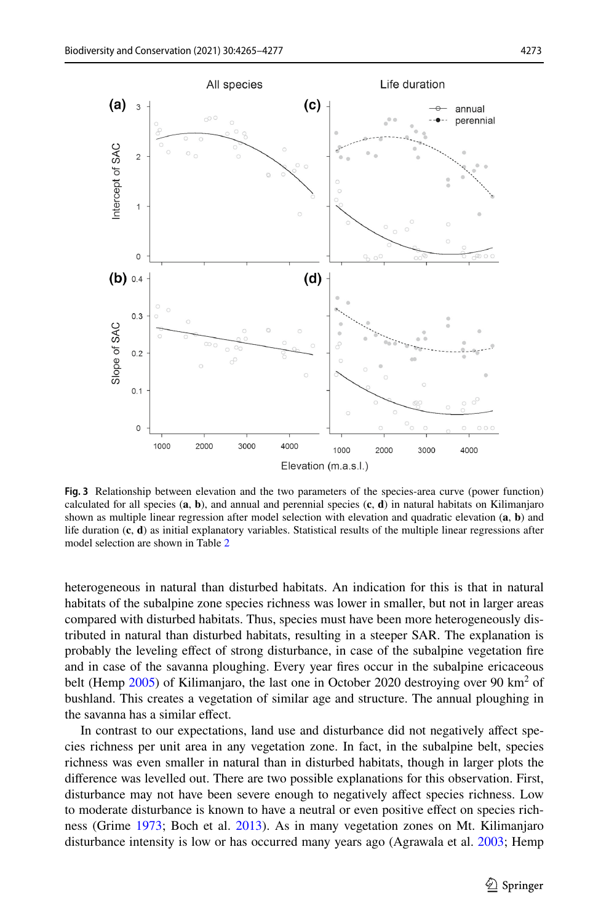

Elevation (m.a.s.l.)

<span id="page-8-0"></span>**Fig. 3** Relationship between elevation and the two parameters of the species-area curve (power function) calculated for all species (**a**, **b**), and annual and perennial species (**c**, **d**) in natural habitats on Kilimanjaro shown as multiple linear regression after model selection with elevation and quadratic elevation (**a**, **b**) and life duration (**c**, **d**) as initial explanatory variables. Statistical results of the multiple linear regressions after model selection are shown in Table [2](#page-7-0)

heterogeneous in natural than disturbed habitats. An indication for this is that in natural habitats of the subalpine zone species richness was lower in smaller, but not in larger areas compared with disturbed habitats. Thus, species must have been more heterogeneously distributed in natural than disturbed habitats, resulting in a steeper SAR. The explanation is probably the leveling efect of strong disturbance, in case of the subalpine vegetation fre and in case of the savanna ploughing. Every year fres occur in the subalpine ericaceous belt (Hemp  $2005$ ) of Kilimanjaro, the last one in October 2020 destroying over 90 km<sup>2</sup> of bushland. This creates a vegetation of similar age and structure. The annual ploughing in the savanna has a similar efect.

In contrast to our expectations, land use and disturbance did not negatively afect species richness per unit area in any vegetation zone. In fact, in the subalpine belt, species richness was even smaller in natural than in disturbed habitats, though in larger plots the diference was levelled out. There are two possible explanations for this observation. First, disturbance may not have been severe enough to negatively afect species richness. Low to moderate disturbance is known to have a neutral or even positive efect on species richness (Grime [1973](#page-11-31); Boch et al. [2013](#page-11-32)). As in many vegetation zones on Mt. Kilimanjaro disturbance intensity is low or has occurred many years ago (Agrawala et al. [2003;](#page-10-0) Hemp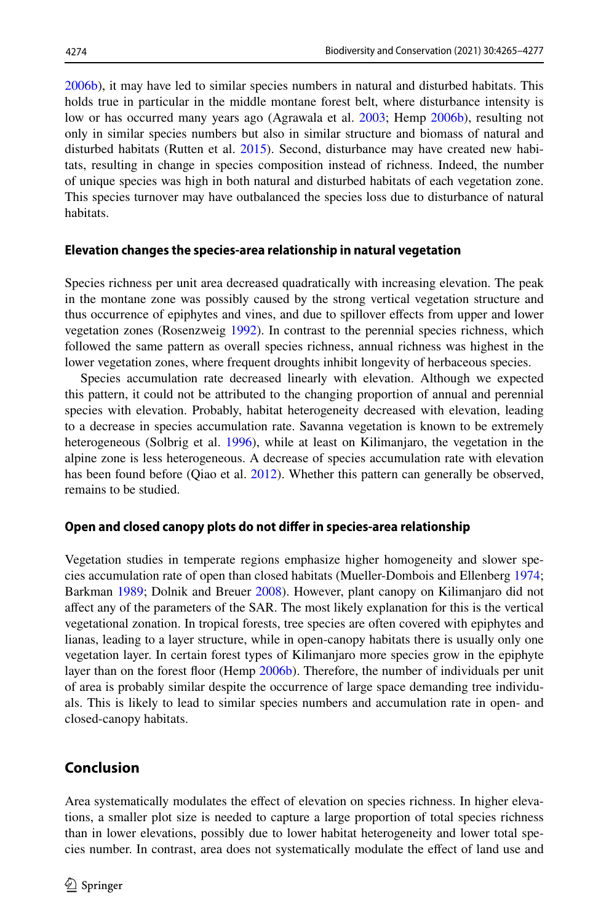[2006b\)](#page-11-23), it may have led to similar species numbers in natural and disturbed habitats. This holds true in particular in the middle montane forest belt, where disturbance intensity is low or has occurred many years ago (Agrawala et al. [2003](#page-10-0); Hemp [2006b\)](#page-11-23), resulting not only in similar species numbers but also in similar structure and biomass of natural and disturbed habitats (Rutten et al. [2015\)](#page-12-12). Second, disturbance may have created new habitats, resulting in change in species composition instead of richness. Indeed, the number of unique species was high in both natural and disturbed habitats of each vegetation zone. This species turnover may have outbalanced the species loss due to disturbance of natural habitats.

### **Elevation changes the species‑area relationship in natural vegetation**

Species richness per unit area decreased quadratically with increasing elevation. The peak in the montane zone was possibly caused by the strong vertical vegetation structure and thus occurrence of epiphytes and vines, and due to spillover efects from upper and lower vegetation zones (Rosenzweig [1992](#page-12-14)). In contrast to the perennial species richness, which followed the same pattern as overall species richness, annual richness was highest in the lower vegetation zones, where frequent droughts inhibit longevity of herbaceous species.

Species accumulation rate decreased linearly with elevation. Although we expected this pattern, it could not be attributed to the changing proportion of annual and perennial species with elevation. Probably, habitat heterogeneity decreased with elevation, leading to a decrease in species accumulation rate. Savanna vegetation is known to be extremely heterogeneous (Solbrig et al. [1996\)](#page-12-15), while at least on Kilimanjaro, the vegetation in the alpine zone is less heterogeneous. A decrease of species accumulation rate with elevation has been found before (Qiao et al. [2012](#page-12-7)). Whether this pattern can generally be observed, remains to be studied.

### **Open and closed canopy plots do not difer in species‑area relationship**

Vegetation studies in temperate regions emphasize higher homogeneity and slower species accumulation rate of open than closed habitats (Mueller-Dombois and Ellenberg [1974;](#page-11-17) Barkman [1989;](#page-11-33) Dolnik and Breuer [2008](#page-11-19)). However, plant canopy on Kilimanjaro did not afect any of the parameters of the SAR. The most likely explanation for this is the vertical vegetational zonation. In tropical forests, tree species are often covered with epiphytes and lianas, leading to a layer structure, while in open-canopy habitats there is usually only one vegetation layer. In certain forest types of Kilimanjaro more species grow in the epiphyte layer than on the forest floor (Hemp [2006b](#page-11-23)). Therefore, the number of individuals per unit of area is probably similar despite the occurrence of large space demanding tree individuals. This is likely to lead to similar species numbers and accumulation rate in open- and closed-canopy habitats.

## **Conclusion**

Area systematically modulates the efect of elevation on species richness. In higher elevations, a smaller plot size is needed to capture a large proportion of total species richness than in lower elevations, possibly due to lower habitat heterogeneity and lower total species number. In contrast, area does not systematically modulate the efect of land use and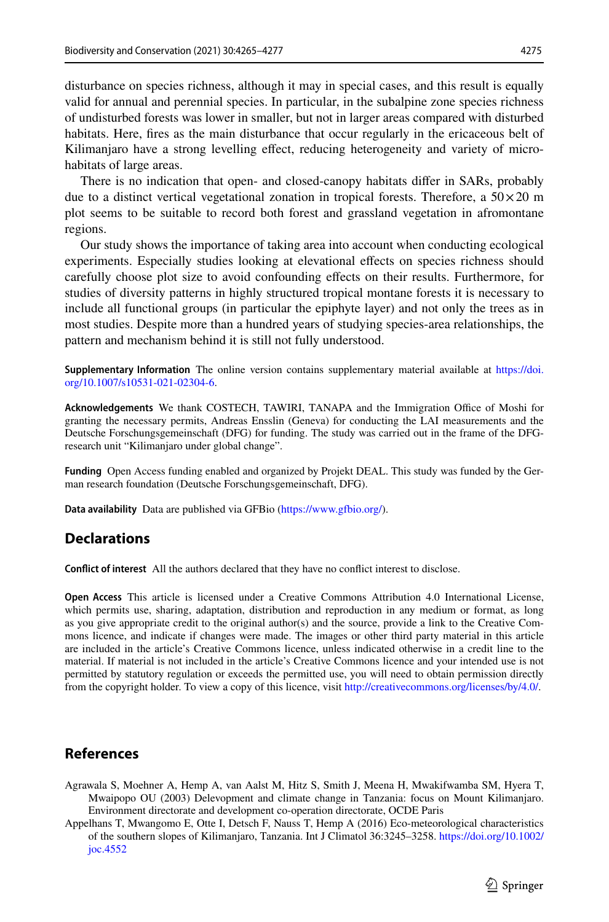disturbance on species richness, although it may in special cases, and this result is equally valid for annual and perennial species. In particular, in the subalpine zone species richness of undisturbed forests was lower in smaller, but not in larger areas compared with disturbed habitats. Here, fres as the main disturbance that occur regularly in the ericaceous belt of Kilimanjaro have a strong levelling efect, reducing heterogeneity and variety of microhabitats of large areas.

There is no indication that open- and closed-canopy habitats difer in SARs, probably due to a distinct vertical vegetational zonation in tropical forests. Therefore, a  $50\times20$  m plot seems to be suitable to record both forest and grassland vegetation in afromontane regions.

Our study shows the importance of taking area into account when conducting ecological experiments. Especially studies looking at elevational efects on species richness should carefully choose plot size to avoid confounding efects on their results. Furthermore, for studies of diversity patterns in highly structured tropical montane forests it is necessary to include all functional groups (in particular the epiphyte layer) and not only the trees as in most studies. Despite more than a hundred years of studying species-area relationships, the pattern and mechanism behind it is still not fully understood.

**Supplementary Information** The online version contains supplementary material available at [https://doi.](https://doi.org/10.1007/s10531-021-02304-6) [org/10.1007/s10531-021-02304-6.](https://doi.org/10.1007/s10531-021-02304-6)

Acknowledgements We thank COSTECH, TAWIRI, TANAPA and the Immigration Office of Moshi for granting the necessary permits, Andreas Ensslin (Geneva) for conducting the LAI measurements and the Deutsche Forschungsgemeinschaft (DFG) for funding. The study was carried out in the frame of the DFGresearch unit "Kilimanjaro under global change".

**Funding** Open Access funding enabled and organized by Projekt DEAL. This study was funded by the German research foundation (Deutsche Forschungsgemeinschaft, DFG).

**Data availability** Data are published via GFBio [\(https://www.gfbio.org/\)](https://www.gfbio.org/).

### **Declarations**

**Confict of interest** All the authors declared that they have no confict interest to disclose.

**Open Access** This article is licensed under a Creative Commons Attribution 4.0 International License, which permits use, sharing, adaptation, distribution and reproduction in any medium or format, as long as you give appropriate credit to the original author(s) and the source, provide a link to the Creative Commons licence, and indicate if changes were made. The images or other third party material in this article are included in the article's Creative Commons licence, unless indicated otherwise in a credit line to the material. If material is not included in the article's Creative Commons licence and your intended use is not permitted by statutory regulation or exceeds the permitted use, you will need to obtain permission directly from the copyright holder. To view a copy of this licence, visit [http://creativecommons.org/licenses/by/4.0/.](http://creativecommons.org/licenses/by/4.0/)

### **References**

- <span id="page-10-0"></span>Agrawala S, Moehner A, Hemp A, van Aalst M, Hitz S, Smith J, Meena H, Mwakifwamba SM, Hyera T, Mwaipopo OU (2003) Delevopment and climate change in Tanzania: focus on Mount Kilimanjaro. Environment directorate and development co-operation directorate, OCDE Paris
- <span id="page-10-1"></span>Appelhans T, Mwangomo E, Otte I, Detsch F, Nauss T, Hemp A (2016) Eco-meteorological characteristics of the southern slopes of Kilimanjaro, Tanzania. Int J Climatol 36:3245–3258. [https://doi.org/10.1002/](https://doi.org/10.1002/joc.4552) [joc.4552](https://doi.org/10.1002/joc.4552)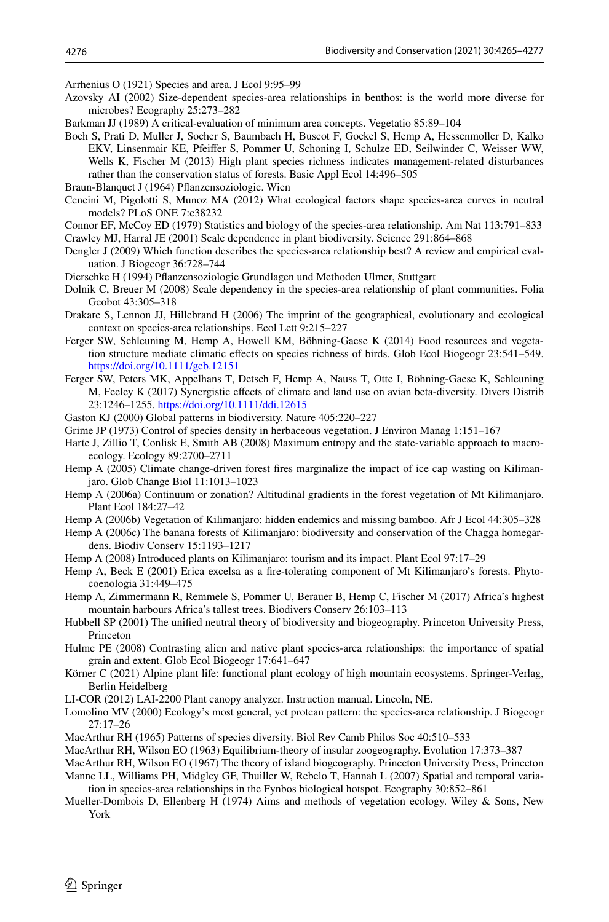<span id="page-11-8"></span>Arrhenius O (1921) Species and area. J Ecol 9:95–99

- <span id="page-11-14"></span>Azovsky AI (2002) Size-dependent species-area relationships in benthos: is the world more diverse for microbes? Ecography 25:273–282
- <span id="page-11-33"></span>Barkman JJ (1989) A critical-evaluation of minimum area concepts. Vegetatio 85:89–104

<span id="page-11-32"></span>Boch S, Prati D, Muller J, Socher S, Baumbach H, Buscot F, Gockel S, Hemp A, Hessenmoller D, Kalko EKV, Linsenmair KE, Pfeifer S, Pommer U, Schoning I, Schulze ED, Seilwinder C, Weisser WW, Wells K, Fischer M (2013) High plant species richness indicates management-related disturbances rather than the conservation status of forests. Basic Appl Ecol 14:496–505

<span id="page-11-29"></span>Braun-Blanquet J (1964) Pflanzensoziologie. Wien

- <span id="page-11-3"></span>Cencini M, Pigolotti S, Munoz MA (2012) What ecological factors shape species-area curves in neutral models? PLoS ONE 7:e38232
- <span id="page-11-5"></span><span id="page-11-1"></span>Connor EF, McCoy ED (1979) Statistics and biology of the species-area relationship. Am Nat 113:791–833 Crawley MJ, Harral JE (2001) Scale dependence in plant biodiversity. Science 291:864–868
- <span id="page-11-9"></span>Dengler J (2009) Which function describes the species-area relationship best? A review and empirical evaluation. J Biogeogr 36:728–744
- <span id="page-11-18"></span>Dierschke H (1994) Pfanzensoziologie Grundlagen und Methoden Ulmer, Stuttgart
- <span id="page-11-19"></span>Dolnik C, Breuer M (2008) Scale dependency in the species-area relationship of plant communities. Folia Geobot 43:305–318
- <span id="page-11-2"></span>Drakare S, Lennon JJ, Hillebrand H (2006) The imprint of the geographical, evolutionary and ecological context on species-area relationships. Ecol Lett 9:215–227
- <span id="page-11-27"></span>Ferger SW, Schleuning M, Hemp A, Howell KM, Böhning-Gaese K (2014) Food resources and vegetation structure mediate climatic efects on species richness of birds. Glob Ecol Biogeogr 23:541–549. <https://doi.org/10.1111/geb.12151>
- <span id="page-11-28"></span>Ferger SW, Peters MK, Appelhans T, Detsch F, Hemp A, Nauss T, Otte I, Böhning-Gaese K, Schleuning M, Feeley K (2017) Synergistic efects of climate and land use on avian beta-diversity. Divers Distrib 23:1246–1255.<https://doi.org/10.1111/ddi.12615>
- <span id="page-11-0"></span>Gaston KJ (2000) Global patterns in biodiversity. Nature 405:220–227
- <span id="page-11-31"></span>Grime JP (1973) Control of species density in herbaceous vegetation. J Environ Manag 1:151–167
- <span id="page-11-15"></span>Harte J, Zillio T, Conlisk E, Smith AB (2008) Maximum entropy and the state-variable approach to macroecology. Ecology 89:2700–2711
- <span id="page-11-20"></span>Hemp A (2005) Climate change-driven forest fres marginalize the impact of ice cap wasting on Kilimanjaro. Glob Change Biol 11:1013–1023
- <span id="page-11-21"></span>Hemp A (2006a) Continuum or zonation? Altitudinal gradients in the forest vegetation of Mt Kilimanjaro. Plant Ecol 184:27–42
- <span id="page-11-23"></span>Hemp A (2006b) Vegetation of Kilimanjaro: hidden endemics and missing bamboo. Afr J Ecol 44:305–328
- <span id="page-11-24"></span>Hemp A (2006c) The banana forests of Kilimanjaro: biodiversity and conservation of the Chagga homegardens. Biodiv Conserv 15:1193–1217
- <span id="page-11-26"></span>Hemp A (2008) Introduced plants on Kilimanjaro: tourism and its impact. Plant Ecol 97:17–29
- <span id="page-11-25"></span>Hemp A, Beck E (2001) Erica excelsa as a fre-tolerating component of Mt Kilimanjaro's forests. Phytocoenologia 31:449–475
- <span id="page-11-22"></span>Hemp A, Zimmermann R, Remmele S, Pommer U, Berauer B, Hemp C, Fischer M (2017) Africa's highest mountain harbours Africa's tallest trees. Biodivers Conserv 26:103–113
- <span id="page-11-7"></span>Hubbell SP (2001) The unifed neutral theory of biodiversity and biogeography. Princeton University Press, Princeton
- <span id="page-11-13"></span>Hulme PE (2008) Contrasting alien and native plant species-area relationships: the importance of spatial grain and extent. Glob Ecol Biogeogr 17:641–647
- <span id="page-11-16"></span>Körner C (2021) Alpine plant life: functional plant ecology of high mountain ecosystems. Springer-Verlag, Berlin Heidelberg
- <span id="page-11-30"></span>LI-COR (2012) LAI-2200 Plant canopy analyzer. Instruction manual. Lincoln, NE.
- <span id="page-11-4"></span>Lomolino MV (2000) Ecology's most general, yet protean pattern: the species-area relationship. J Biogeogr 27:17–26
- <span id="page-11-10"></span>MacArthur RH (1965) Patterns of species diversity. Biol Rev Camb Philos Soc 40:510–533
- <span id="page-11-6"></span>MacArthur RH, Wilson EO (1963) Equilibrium-theory of insular zoogeography. Evolution 17:373–387

<span id="page-11-12"></span><span id="page-11-11"></span>MacArthur RH, Wilson EO (1967) The theory of island biogeography. Princeton University Press, Princeton Manne LL, Williams PH, Midgley GF, Thuiller W, Rebelo T, Hannah L (2007) Spatial and temporal varia-

- tion in species-area relationships in the Fynbos biological hotspot. Ecography 30:852–861
- <span id="page-11-17"></span>Mueller-Dombois D, Ellenberg H (1974) Aims and methods of vegetation ecology. Wiley & Sons, New York